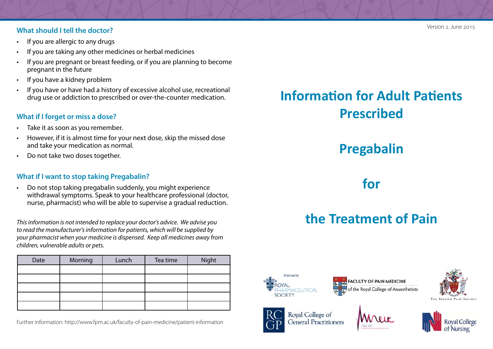#### **What should I tell the doctor?**

- If you are allergic to any drugs
- If you are taking any other medicines or herbal medicines
- • If you are pregnant or breast feeding, or if you are planning to become pregnant in the future
- If you have a kidney problem
- • If you have or have had a history of excessive alcohol use, recreational drug use or addiction to prescribed or over-the-counter medication.

#### **What if I forget or miss a dose?**

- • Take it as soon as you remember.
- • However, if it is almost time for your next dose, skip the missed dose and take your medication as normal.
- Do not take two doses together.

#### **What if I want to stop taking Pregabalin?**

• Do not stop taking pregabalin suddenly, you might experience withdrawal symptoms. Speak to your healthcare professional (doctor, nurse, pharmacist) who will be able to supervise a gradual reduction.

*This information is not intended to replace your doctor's advice. We advise you to read the manufacturer's information for patients, which will be supplied by your pharmacist when your medicine is dispensed. Keep all medicines away from children, vulnerable adults or pets.*

| Date | Morning | Lunch | Tea time | Night |
|------|---------|-------|----------|-------|
|      |         |       |          |       |
|      |         |       |          |       |
|      |         |       |          |       |
|      |         |       |          |       |
|      |         |       |          |       |

Further information: http://www.fpm.ac.uk/faculty-of-pain-medicine/patient-information

# **Information for Adult Patients Prescribed**

# **Pregabalin**

### **for**

# **the Treatment of Pain**